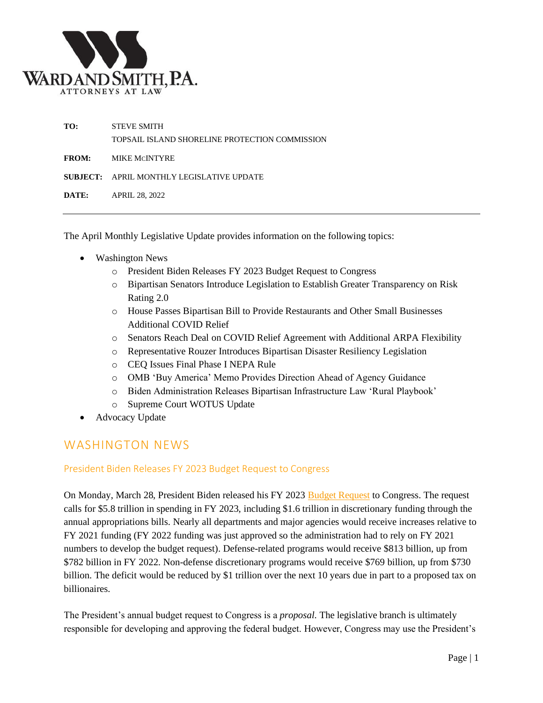

| TO:   | <b>STEVE SMITH</b>                               |
|-------|--------------------------------------------------|
|       | TOPSAIL ISLAND SHORELINE PROTECTION COMMISSION   |
| FROM: | <b>MIKE MCINTYRE</b>                             |
|       | <b>SUBJECT: APRIL MONTHLY LEGISLATIVE UPDATE</b> |
| DATE: | <b>APRIL 28, 2022</b>                            |

The April Monthly Legislative Update provides information on the following topics:

- Washington News
	- o President Biden Releases FY 2023 Budget Request to Congress
	- o Bipartisan Senators Introduce Legislation to Establish Greater Transparency on Risk Rating 2.0
	- o House Passes Bipartisan Bill to Provide Restaurants and Other Small Businesses Additional COVID Relief
	- o Senators Reach Deal on COVID Relief Agreement with Additional ARPA Flexibility
	- o Representative Rouzer Introduces Bipartisan Disaster Resiliency Legislation
	- o CEQ Issues Final Phase I NEPA Rule
	- o OMB 'Buy America' Memo Provides Direction Ahead of Agency Guidance
	- o Biden Administration Releases Bipartisan Infrastructure Law 'Rural Playbook'
	- o Supreme Court WOTUS Update
- Advocacy Update

# WASHINGTON NEWS

#### President Biden Releases FY 2023 Budget Request to Congress

On Monday, March 28, President Biden released his FY 2023 Budget [Request](https://www.whitehouse.gov/wp-content/uploads/2022/03/budget_fy2023.pdf) to Congress. The request calls for \$5.8 trillion in spending in FY 2023, including \$1.6 trillion in discretionary funding through the annual appropriations bills. Nearly all departments and major agencies would receive increases relative to FY 2021 funding (FY 2022 funding was just approved so the administration had to rely on FY 2021 numbers to develop the budget request). Defense-related programs would receive \$813 billion, up from \$782 billion in FY 2022. Non-defense discretionary programs would receive \$769 billion, up from \$730 billion. The deficit would be reduced by \$1 trillion over the next 10 years due in part to a proposed tax on billionaires.

The President's annual budget request to Congress is a *proposal*. The legislative branch is ultimately responsible for developing and approving the federal budget. However, Congress may use the President's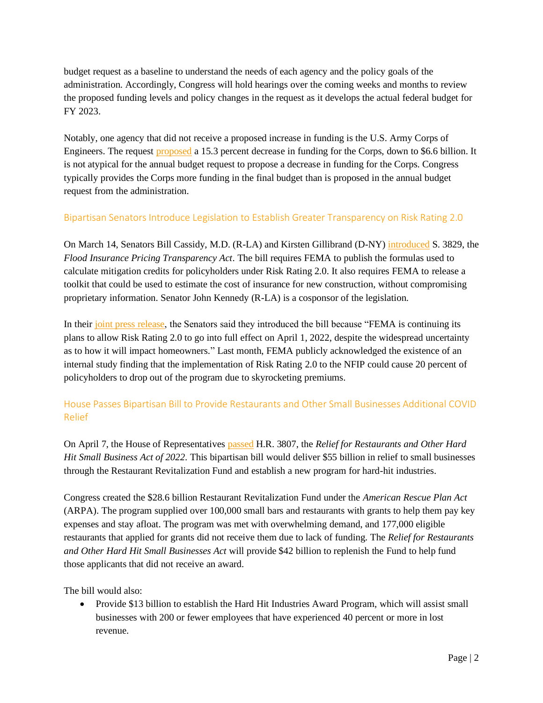budget request as a baseline to understand the needs of each agency and the policy goals of the administration. Accordingly, Congress will hold hearings over the coming weeks and months to review the proposed funding levels and policy changes in the request as it develops the actual federal budget for FY 2023.

Notably, one agency that did not receive a proposed increase in funding is the U.S. Army Corps of Engineers. The request [proposed](https://usace.contentdm.oclc.org/utils/getfile/collection/p16021coll6/id/2252) a 15.3 percent decrease in funding for the Corps, down to \$6.6 billion. It is not atypical for the annual budget request to propose a decrease in funding for the Corps. Congress typically provides the Corps more funding in the final budget than is proposed in the annual budget request from the administration.

## Bipartisan Senators Introduce Legislation to Establish Greater Transparency on Risk Rating 2.0

On March 14, Senators Bill Cassidy, M.D. (R-LA) and Kirsten Gillibrand (D-NY) [introduced](https://www.cassidy.senate.gov/newsroom/press-releases/cassidy-gillibrand-introduce-bipartisan-flood-insurance-pricing-transparency-act) S. 3829, the *Flood Insurance Pricing Transparency Act*. The bill requires FEMA to publish the formulas used to calculate mitigation credits for policyholders under Risk Rating 2.0. It also requires FEMA to release a toolkit that could be used to estimate the cost of insurance for new construction, without compromising proprietary information. Senator John Kennedy (R-LA) is a cosponsor of the legislation.

In their [joint press release,](https://www.cassidy.senate.gov/newsroom/press-releases/cassidy-gillibrand-introduce-bipartisan-flood-insurance-pricing-transparency-act) the Senators said they introduced the bill because "FEMA is continuing its plans to allow Risk Rating 2.0 to go into full effect on April 1, 2022, despite the widespread uncertainty as to how it will impact homeowners." Last month, FEMA publicly acknowledged the existence of an internal study finding that the implementation of Risk Rating 2.0 to the NFIP could cause 20 percent of policyholders to drop out of the program due to skyrocketing premiums.

# House Passes Bipartisan Bill to Provide Restaurants and Other Small Businesses Additional COVID Relief

On April 7, the House of Representatives [passed](https://smallbusiness.house.gov/news/documentsingle.aspx?DocumentID=4242) H.R. 3807, the *Relief for Restaurants and Other Hard Hit Small Business Act of 2022*. This bipartisan bill would deliver \$55 billion in relief to small businesses through the Restaurant Revitalization Fund and establish a new program for hard-hit industries.

Congress created the \$28.6 billion Restaurant Revitalization Fund under the *American Rescue Plan Act* (ARPA). The program supplied over 100,000 small bars and restaurants with grants to help them pay key expenses and stay afloat. The program was met with overwhelming demand, and 177,000 eligible restaurants that applied for grants did not receive them due to lack of funding. The *Relief for Restaurants and Other Hard Hit Small Businesses Act* will provide \$42 billion to replenish the Fund to help fund those applicants that did not receive an award.

The bill would also:

• Provide \$13 billion to establish the Hard Hit Industries Award Program, which will assist small businesses with 200 or fewer employees that have experienced 40 percent or more in lost revenue.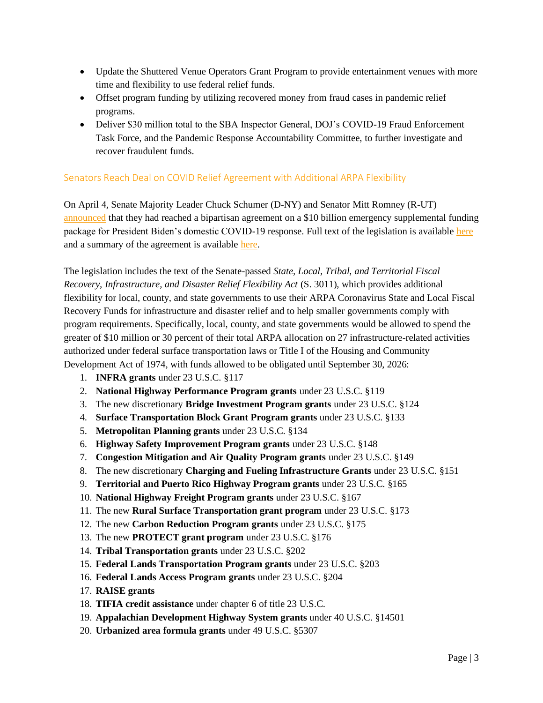- Update the Shuttered Venue Operators Grant Program to provide entertainment venues with more time and flexibility to use federal relief funds.
- Offset program funding by utilizing recovered money from fraud cases in pandemic relief programs.
- Deliver \$30 million total to the SBA Inspector General, DOJ's COVID-19 Fraud Enforcement Task Force, and the Pandemic Response Accountability Committee, to further investigate and recover fraudulent funds.

## Senators Reach Deal on COVID Relief Agreement with Additional ARPA Flexibility

On April 4, Senate Majority Leader Chuck Schumer (D-NY) and Senator Mitt Romney (R-UT) [announced](https://r20.rs6.net/tn.jsp?f=001U6CHKcYOPtwM4B-QrPhbAS4a1UMBND0icvpwb1DWWly-OmnJbLCqaMwLL1Guz-2Fhrc7wE7UAxlIrRp518RK795o260H1zT71ApKoBh5PX2hjsbiOzfDGsH_vz8C3qjAJQf4USXRPD5aKepy8XbGdEKsUeM6i4UZ6WrCXb4A0SKAAIoDXjIeXapCSa0vfQRQDAQc1VyAUBH3xKk3Opb8kJx57rU2mXe7a5OkRhQBv_L9Ua6XsnFa8ABvKCDDzrXA4KqMbVSQxJHQkZntQrjj4W4kxHV2Ntbm&c=nFNlfvUiJyiH7LW7MIX3yHvnPgaX60MsWRDHHQfgpKBCJKKN56IiSg==&ch=DHBCQt1XPA-MyausGsZNtoKKZMUbWinZUCNYXmUHgC7pQkVmb_BuUQ==) that they had reached a bipartisan agreement on a \$10 billion emergency supplemental funding package for President Biden's domestic COVID-19 response. Full text of the legislation is available [here](https://r20.rs6.net/tn.jsp?f=001U6CHKcYOPtwM4B-QrPhbAS4a1UMBND0icvpwb1DWWly-OmnJbLCqaMwLL1Guz-2FqiGUvQwqG4qPRS7Ffd6VSPNbPRTXcz2ilBRSqvK_8eTRkaaH6F4529F4ZUwTEaWhKqZUwQDYBkOSFD0IEEH_ewPP-fws9n-VGzeluOZOF0vys_nk1LZVtdtfREexi0H01TlLCS7hqgV6iQj69N3emQ==&c=nFNlfvUiJyiH7LW7MIX3yHvnPgaX60MsWRDHHQfgpKBCJKKN56IiSg==&ch=DHBCQt1XPA-MyausGsZNtoKKZMUbWinZUCNYXmUHgC7pQkVmb_BuUQ==) and a summary of the agreement is available [here.](https://r20.rs6.net/tn.jsp?f=001U6CHKcYOPtwM4B-QrPhbAS4a1UMBND0icvpwb1DWWly-OmnJbLCqaMwLL1Guz-2FqdSOFD_nWsppykBXOlxZgr4K6IuMjCnnSX8RHfx3L45pE6VukAO-UgQsyYOskfnf6ZQ9y0SPW3orWIfpDSnquheGiBR6J1_30x-30zHO4NT3cM6M7JnvqgAFt6VWog7Gb-wHglqA5dXGFMZEh5unkUZgf5nstrrwadJQgfCrNwXS6vj5abZO7-vSImeO3PW-9XGyQbf2zNQ=&c=nFNlfvUiJyiH7LW7MIX3yHvnPgaX60MsWRDHHQfgpKBCJKKN56IiSg==&ch=DHBCQt1XPA-MyausGsZNtoKKZMUbWinZUCNYXmUHgC7pQkVmb_BuUQ==)

The legislation includes the text of the Senate-passed *State, Local, Tribal, and Territorial Fiscal Recovery, Infrastructure, and Disaster Relief Flexibility Act* (S. 3011), which provides additional flexibility for local, county, and state governments to use their ARPA Coronavirus State and Local Fiscal Recovery Funds for infrastructure and disaster relief and to help smaller governments comply with program requirements. Specifically, local, county, and state governments would be allowed to spend the greater of \$10 million or 30 percent of their total ARPA allocation on 27 infrastructure-related activities authorized under federal surface transportation laws or Title I of the Housing and Community Development Act of 1974, with funds allowed to be obligated until September 30, 2026:

- 1. **INFRA grants** under 23 U.S.C. §117
- 2. **National Highway Performance Program grants** under 23 U.S.C. §119
- 3. The new discretionary **Bridge Investment Program grants** under 23 U.S.C. §124
- 4. **Surface Transportation Block Grant Program grants** under 23 U.S.C. §133
- 5. **Metropolitan Planning grants** under 23 U.S.C. §134
- 6. **Highway Safety Improvement Program grants** under 23 U.S.C. §148
- 7. **Congestion Mitigation and Air Quality Program grants** under 23 U.S.C. §149
- 8. The new discretionary **Charging and Fueling Infrastructure Grants** under 23 U.S.C. §151
- 9. **Territorial and Puerto Rico Highway Program grants** under 23 U.S.C. §165
- 10. **National Highway Freight Program grants** under 23 U.S.C. §167
- 11. The new **Rural Surface Transportation grant program** under 23 U.S.C. §173
- 12. The new **Carbon Reduction Program grants** under 23 U.S.C. §175
- 13. The new **PROTECT grant program** under 23 U.S.C. §176
- 14. **Tribal Transportation grants** under 23 U.S.C. §202
- 15. **Federal Lands Transportation Program grants** under 23 U.S.C. §203
- 16. **Federal Lands Access Program grants** under 23 U.S.C. §204
- 17. **RAISE grants**
- 18. **TIFIA credit assistance** under chapter 6 of title 23 U.S.C.
- 19. **Appalachian Development Highway System grants** under 40 U.S.C. §14501
- 20. **Urbanized area formula grants** under 49 U.S.C. §5307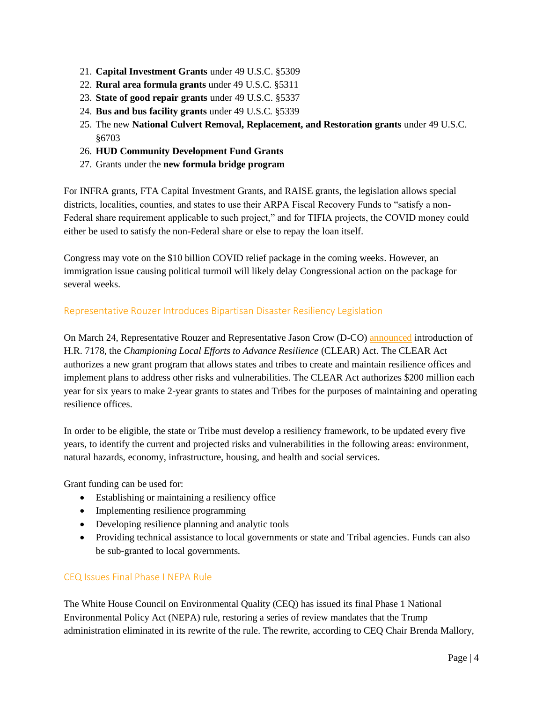- 21. **Capital Investment Grants** under 49 U.S.C. §5309
- 22. **Rural area formula grants** under 49 U.S.C. §5311
- 23. **State of good repair grants** under 49 U.S.C. §5337
- 24. **Bus and bus facility grants** under 49 U.S.C. §5339
- 25. The new **National Culvert Removal, Replacement, and Restoration grants** under 49 U.S.C. §6703
- 26. **HUD Community Development Fund Grants**
- 27. Grants under the **new formula bridge program**

For INFRA grants, FTA Capital Investment Grants, and RAISE grants, the legislation allows special districts, localities, counties, and states to use their ARPA Fiscal Recovery Funds to "satisfy a non-Federal share requirement applicable to such project," and for TIFIA projects, the COVID money could either be used to satisfy the non-Federal share or else to repay the loan itself.

Congress may vote on the \$10 billion COVID relief package in the coming weeks. However, an immigration issue causing political turmoil will likely delay Congressional action on the package for several weeks.

## Representative Rouzer Introduces Bipartisan Disaster Resiliency Legislation

On March 24, Representative Rouzer and Representative Jason Crow (D-CO) [announced](https://rouzer.house.gov/press-releases?ID=E06A02E9-84C6-477A-B3BC-23199C59DCC5) introduction of H.R. 7178, the *Championing Local Efforts to Advance Resilience* (CLEAR) Act. The CLEAR Act authorizes a new grant program that allows states and tribes to create and maintain resilience offices and implement plans to address other risks and vulnerabilities. The CLEAR Act authorizes \$200 million each year for six years to make 2-year grants to states and Tribes for the purposes of maintaining and operating resilience offices.

In order to be eligible, the state or Tribe must develop a resiliency framework, to be updated every five years, to identify the current and projected risks and vulnerabilities in the following areas: environment, natural hazards, economy, infrastructure, housing, and health and social services.

Grant funding can be used for:

- Establishing or maintaining a resiliency office
- Implementing resilience programming
- Developing resilience planning and analytic tools
- Providing technical assistance to local governments or state and Tribal agencies. Funds can also be sub-granted to local governments.

# CEQ Issues Final Phase I NEPA Rule

The White House Council on Environmental Quality (CEQ) has issued its final Phase 1 National Environmental Policy Act (NEPA) rule, restoring a series of review mandates that the Trump administration eliminated in its rewrite of the rule. The rewrite, according to CEQ Chair Brenda Mallory,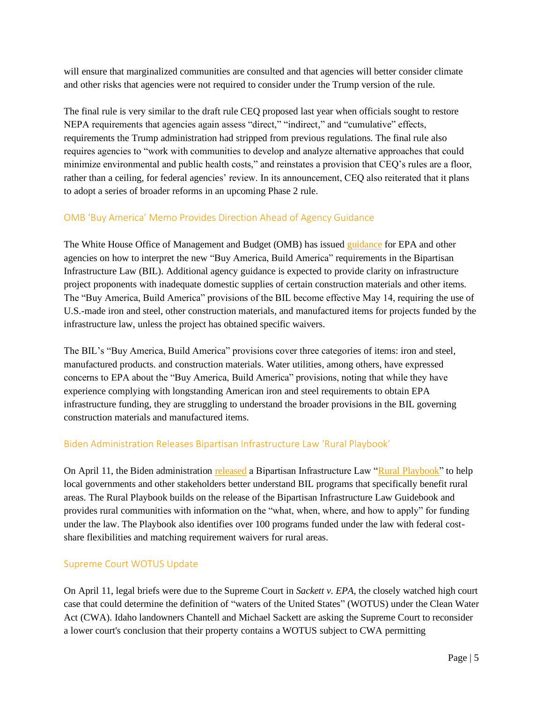will ensure that marginalized communities are consulted and that agencies will better consider climate and other risks that agencies were not required to consider under the Trump version of the rule.

The final rule is very similar to the draft rule CEQ proposed last year when officials sought to restore NEPA requirements that agencies again assess "direct," "indirect," and "cumulative" effects, requirements the Trump administration had stripped from previous regulations. The final rule also requires agencies to "work with communities to develop and analyze alternative approaches that could minimize environmental and public health costs," and reinstates a provision that CEQ's rules are a floor, rather than a ceiling, for federal agencies' review. In its announcement, CEQ also reiterated that it plans to adopt a series of broader reforms in an upcoming Phase 2 rule.

#### OMB 'Buy America' Memo Provides Direction Ahead of Agency Guidance

The White House Office of Management and Budget (OMB) has issued [guidance](https://www.whitehouse.gov/wp-content/uploads/2022/04/M-22-11.pdf) for EPA and other agencies on how to interpret the new "Buy America, Build America" requirements in the Bipartisan Infrastructure Law (BIL). Additional agency guidance is expected to provide clarity on infrastructure project proponents with inadequate domestic supplies of certain construction materials and other items. The "Buy America, Build America" provisions of the BIL become effective May 14, requiring the use of U.S.-made iron and steel, other construction materials, and manufactured items for projects funded by the infrastructure law, unless the project has obtained specific waivers.

The BIL's "Buy America, Build America" provisions cover three categories of items: iron and steel, manufactured products. and construction materials. Water utilities, among others, have expressed concerns to EPA about the "Buy America, Build America" provisions, noting that while they have experience complying with longstanding American iron and steel requirements to obtain EPA infrastructure funding, they are struggling to understand the broader provisions in the BIL governing construction materials and manufactured items.

## Biden Administration Releases Bipartisan Infrastructure Law 'Rural Playbook'

On April 11, the Biden administration [released](https://www.whitehouse.gov/briefing-room/statements-releases/2022/04/11/biden-administration-releases-rural-playbook-launches-building-a-better-america-rural-infrastructure-tour-to-highlight-impact-of-bipartisan-infrastructure-law-on-rural-america/) a Bipartisan Infrastructure Law ["Rural Playbook"](https://www.whitehouse.gov/wp-content/uploads/2022/04/BIL-Rural-Playbook-.pdf) to help local governments and other stakeholders better understand BIL programs that specifically benefit rural areas. The Rural Playbook builds on the release of the Bipartisan Infrastructure Law Guidebook and provides rural communities with information on the "what, when, where, and how to apply" for funding under the law. The Playbook also identifies over 100 programs funded under the law with federal costshare flexibilities and matching requirement waivers for rural areas.

#### Supreme Court WOTUS Update

On April 11, legal briefs were due to the Supreme Court in *Sackett v. EPA*, the closely watched high court case that could determine the definition of "waters of the United States" (WOTUS) under the Clean Water Act (CWA). Idaho landowners Chantell and Michael Sackett are asking the Supreme Court to reconsider a lower court's conclusion that their property contains a WOTUS subject to CWA permitting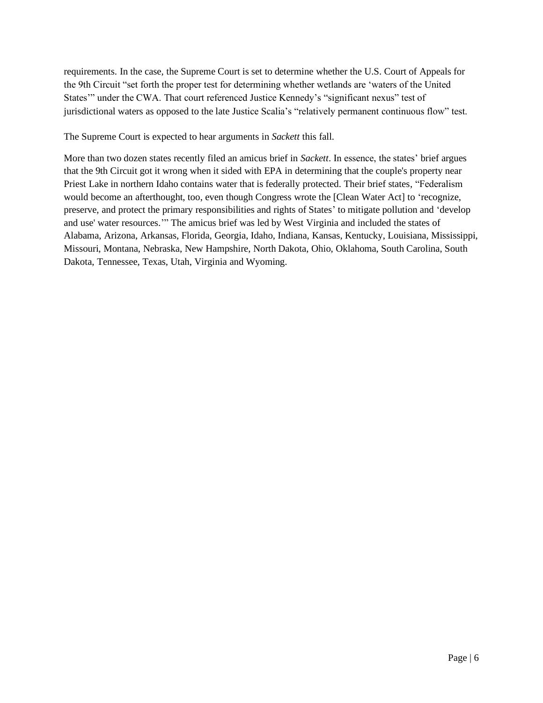requirements. In the case, the Supreme Court is set to determine whether the U.S. Court of Appeals for the 9th Circuit "set forth the proper test for determining whether wetlands are 'waters of the United States'" under the CWA. That court referenced Justice Kennedy's "significant nexus" test of jurisdictional waters as opposed to the late Justice Scalia's "relatively permanent continuous flow" test.

The Supreme Court is expected to hear arguments in *Sackett* this fall.

More than two dozen states recently filed an amicus brief in *Sackett*. In essence, the states' brief argues that the 9th Circuit got it wrong when it sided with EPA in determining that the couple's property near Priest Lake in northern Idaho contains water that is federally protected. Their brief states, "Federalism would become an afterthought, too, even though Congress wrote the [Clean Water Act] to 'recognize, preserve, and protect the primary responsibilities and rights of States' to mitigate pollution and 'develop and use' water resources.'" The amicus brief was led by West Virginia and included the states of Alabama, Arizona, Arkansas, Florida, Georgia, Idaho, Indiana, Kansas, Kentucky, Louisiana, Mississippi, Missouri, Montana, Nebraska, New Hampshire, North Dakota, Ohio, Oklahoma, South Carolina, South Dakota, Tennessee, Texas, Utah, Virginia and Wyoming.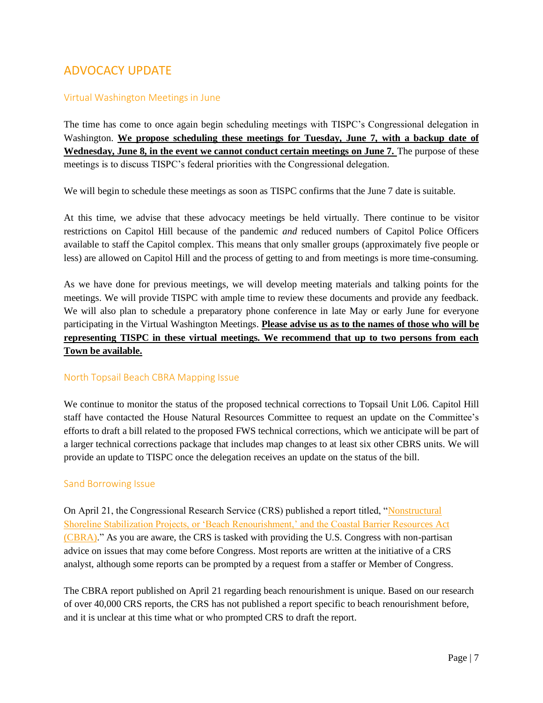# ADVOCACY UPDATE

## Virtual Washington Meetings in June

The time has come to once again begin scheduling meetings with TISPC's Congressional delegation in Washington. **We propose scheduling these meetings for Tuesday, June 7, with a backup date of Wednesday, June 8, in the event we cannot conduct certain meetings on June 7.** The purpose of these meetings is to discuss TISPC's federal priorities with the Congressional delegation.

We will begin to schedule these meetings as soon as TISPC confirms that the June 7 date is suitable.

At this time, we advise that these advocacy meetings be held virtually. There continue to be visitor restrictions on Capitol Hill because of the pandemic *and* reduced numbers of Capitol Police Officers available to staff the Capitol complex. This means that only smaller groups (approximately five people or less) are allowed on Capitol Hill and the process of getting to and from meetings is more time-consuming.

As we have done for previous meetings, we will develop meeting materials and talking points for the meetings. We will provide TISPC with ample time to review these documents and provide any feedback. We will also plan to schedule a preparatory phone conference in late May or early June for everyone participating in the Virtual Washington Meetings. **Please advise us as to the names of those who will be representing TISPC in these virtual meetings. We recommend that up to two persons from each Town be available.**

## North Topsail Beach CBRA Mapping Issue

We continue to monitor the status of the proposed technical corrections to Topsail Unit L06. Capitol Hill staff have contacted the House Natural Resources Committee to request an update on the Committee's efforts to draft a bill related to the proposed FWS technical corrections, which we anticipate will be part of a larger technical corrections package that includes map changes to at least six other CBRS units. We will provide an update to TISPC once the delegation receives an update on the status of the bill.

#### Sand Borrowing Issue

On April 21, the Congressional Research Service (CRS) published a report titled, ["Nonstructural](https://crsreports.congress.gov/product/pdf/LSB/LSB10729)  [Shoreline Stabilization Projects, or 'Beach Renourishment,' and the Coastal Barrier Resources Act](https://crsreports.congress.gov/product/pdf/LSB/LSB10729)  [\(CBRA\).](https://crsreports.congress.gov/product/pdf/LSB/LSB10729)" As you are aware, the CRS is tasked with providing the U.S. Congress with non-partisan advice on issues that may come before Congress. Most reports are written at the initiative of a CRS analyst, although some reports can be prompted by a request from a staffer or Member of Congress.

The CBRA report published on April 21 regarding beach renourishment is unique. Based on our research of over 40,000 CRS reports, the CRS has not published a report specific to beach renourishment before, and it is unclear at this time what or who prompted CRS to draft the report.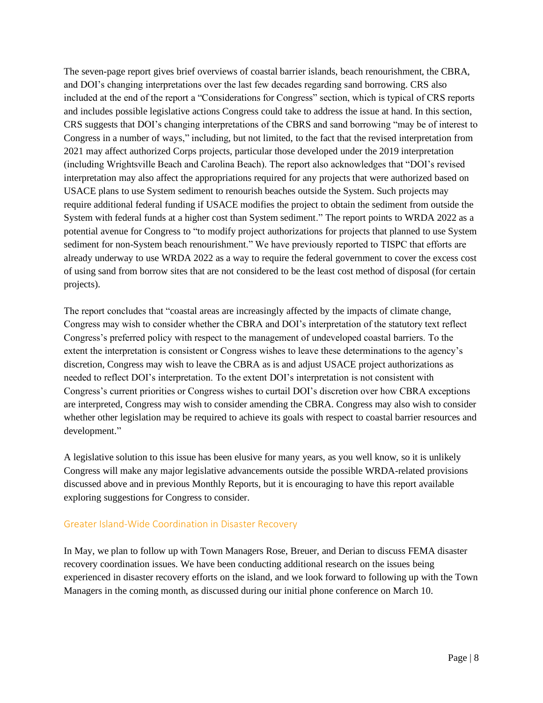The seven-page report gives brief overviews of coastal barrier islands, beach renourishment, the CBRA, and DOI's changing interpretations over the last few decades regarding sand borrowing. CRS also included at the end of the report a "Considerations for Congress" section, which is typical of CRS reports and includes possible legislative actions Congress could take to address the issue at hand. In this section, CRS suggests that DOI's changing interpretations of the CBRS and sand borrowing "may be of interest to Congress in a number of ways," including, but not limited, to the fact that the revised interpretation from 2021 may affect authorized Corps projects, particular those developed under the 2019 interpretation (including Wrightsville Beach and Carolina Beach). The report also acknowledges that "DOI's revised interpretation may also affect the appropriations required for any projects that were authorized based on USACE plans to use System sediment to renourish beaches outside the System. Such projects may require additional federal funding if USACE modifies the project to obtain the sediment from outside the System with federal funds at a higher cost than System sediment." The report points to WRDA 2022 as a potential avenue for Congress to "to modify project authorizations for projects that planned to use System sediment for non-System beach renourishment." We have previously reported to TISPC that efforts are already underway to use WRDA 2022 as a way to require the federal government to cover the excess cost of using sand from borrow sites that are not considered to be the least cost method of disposal (for certain projects).

The report concludes that "coastal areas are increasingly affected by the impacts of climate change, Congress may wish to consider whether the CBRA and DOI's interpretation of the statutory text reflect Congress's preferred policy with respect to the management of undeveloped coastal barriers. To the extent the interpretation is consistent or Congress wishes to leave these determinations to the agency's discretion, Congress may wish to leave the CBRA as is and adjust USACE project authorizations as needed to reflect DOI's interpretation. To the extent DOI's interpretation is not consistent with Congress's current priorities or Congress wishes to curtail DOI's discretion over how CBRA exceptions are interpreted, Congress may wish to consider amending the CBRA. Congress may also wish to consider whether other legislation may be required to achieve its goals with respect to coastal barrier resources and development."

A legislative solution to this issue has been elusive for many years, as you well know, so it is unlikely Congress will make any major legislative advancements outside the possible WRDA-related provisions discussed above and in previous Monthly Reports, but it is encouraging to have this report available exploring suggestions for Congress to consider.

#### Greater Island-Wide Coordination in Disaster Recovery

In May, we plan to follow up with Town Managers Rose, Breuer, and Derian to discuss FEMA disaster recovery coordination issues. We have been conducting additional research on the issues being experienced in disaster recovery efforts on the island, and we look forward to following up with the Town Managers in the coming month, as discussed during our initial phone conference on March 10.